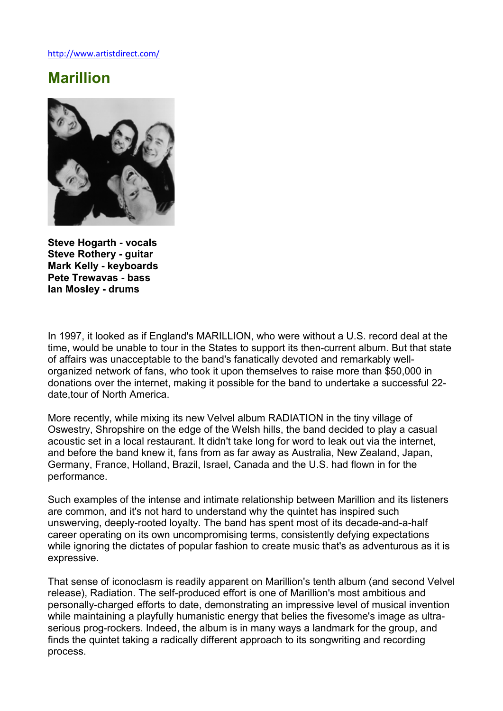http://www.artistdirect.com/

## Marillion



Steve Hogarth - vocals Steve Rothery - guitar Mark Kelly - keyboards Pete Trewavas - bass Ian Mosley - drums

In 1997, it looked as if England's MARILLION, who were without a U.S. record deal at the time, would be unable to tour in the States to support its then-current album. But that state of affairs was unacceptable to the band's fanatically devoted and remarkably wellorganized network of fans, who took it upon themselves to raise more than \$50,000 in donations over the internet, making it possible for the band to undertake a successful 22 date,tour of North America.

More recently, while mixing its new Velvel album RADIATION in the tiny village of Oswestry, Shropshire on the edge of the Welsh hills, the band decided to play a casual acoustic set in a local restaurant. It didn't take long for word to leak out via the internet, and before the band knew it, fans from as far away as Australia, New Zealand, Japan, Germany, France, Holland, Brazil, Israel, Canada and the U.S. had flown in for the performance.

Such examples of the intense and intimate relationship between Marillion and its listeners are common, and it's not hard to understand why the quintet has inspired such unswerving, deeply-rooted loyalty. The band has spent most of its decade-and-a-half career operating on its own uncompromising terms, consistently defying expectations while ignoring the dictates of popular fashion to create music that's as adventurous as it is expressive.

That sense of iconoclasm is readily apparent on Marillion's tenth album (and second Velvel release), Radiation. The self-produced effort is one of Marillion's most ambitious and personally-charged efforts to date, demonstrating an impressive level of musical invention while maintaining a playfully humanistic energy that belies the fivesome's image as ultraserious prog-rockers. Indeed, the album is in many ways a landmark for the group, and finds the quintet taking a radically different approach to its songwriting and recording process.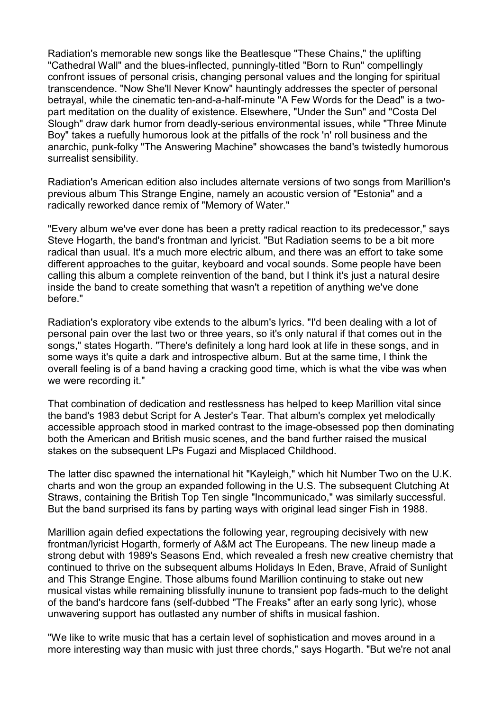Radiation's memorable new songs like the Beatlesque "These Chains," the uplifting "Cathedral Wall" and the blues-inflected, punningly-titled "Born to Run" compellingly confront issues of personal crisis, changing personal values and the longing for spiritual transcendence. "Now She'll Never Know" hauntingly addresses the specter of personal betrayal, while the cinematic ten-and-a-half-minute "A Few Words for the Dead" is a twopart meditation on the duality of existence. Elsewhere, "Under the Sun" and "Costa Del Slough" draw dark humor from deadly-serious environmental issues, while "Three Minute Boy" takes a ruefully humorous look at the pitfalls of the rock 'n' roll business and the anarchic, punk-folky "The Answering Machine" showcases the band's twistedly humorous surrealist sensibility.

Radiation's American edition also includes alternate versions of two songs from Marillion's previous album This Strange Engine, namely an acoustic version of "Estonia" and a radically reworked dance remix of "Memory of Water."

"Every album we've ever done has been a pretty radical reaction to its predecessor," says Steve Hogarth, the band's frontman and lyricist. "But Radiation seems to be a bit more radical than usual. It's a much more electric album, and there was an effort to take some different approaches to the guitar, keyboard and vocal sounds. Some people have been calling this album a complete reinvention of the band, but I think it's just a natural desire inside the band to create something that wasn't a repetition of anything we've done before."

Radiation's exploratory vibe extends to the album's lyrics. "I'd been dealing with a lot of personal pain over the last two or three years, so it's only natural if that comes out in the songs," states Hogarth. "There's definitely a long hard look at life in these songs, and in some ways it's quite a dark and introspective album. But at the same time, I think the overall feeling is of a band having a cracking good time, which is what the vibe was when we were recording it."

That combination of dedication and restlessness has helped to keep Marillion vital since the band's 1983 debut Script for A Jester's Tear. That album's complex yet melodically accessible approach stood in marked contrast to the image-obsessed pop then dominating both the American and British music scenes, and the band further raised the musical stakes on the subsequent LPs Fugazi and Misplaced Childhood.

The latter disc spawned the international hit "Kayleigh," which hit Number Two on the U.K. charts and won the group an expanded following in the U.S. The subsequent Clutching At Straws, containing the British Top Ten single "Incommunicado," was similarly successful. But the band surprised its fans by parting ways with original lead singer Fish in 1988.

Marillion again defied expectations the following year, regrouping decisively with new frontman/lyricist Hogarth, formerly of A&M act The Europeans. The new lineup made a strong debut with 1989's Seasons End, which revealed a fresh new creative chemistry that continued to thrive on the subsequent albums Holidays In Eden, Brave, Afraid of Sunlight and This Strange Engine. Those albums found Marillion continuing to stake out new musical vistas while remaining blissfully inunune to transient pop fads-much to the delight of the band's hardcore fans (self-dubbed "The Freaks" after an early song lyric), whose unwavering support has outlasted any number of shifts in musical fashion.

"We like to write music that has a certain level of sophistication and moves around in a more interesting way than music with just three chords," says Hogarth. "But we're not anal